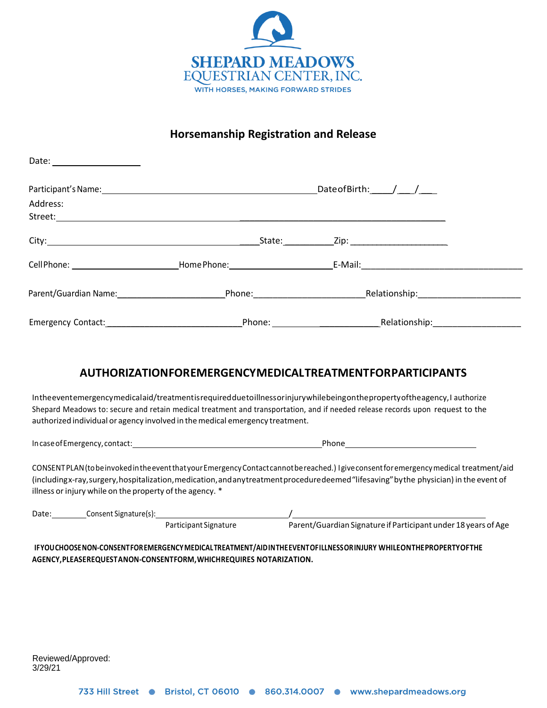

## **Horsemanship Registration and Release**

|                                                                                                                                                                                                                                | Date of Birth: $\frac{1}{\sqrt{1-\frac{1}{2}}}$ |  |
|--------------------------------------------------------------------------------------------------------------------------------------------------------------------------------------------------------------------------------|-------------------------------------------------|--|
| Address:                                                                                                                                                                                                                       |                                                 |  |
|                                                                                                                                                                                                                                |                                                 |  |
|                                                                                                                                                                                                                                |                                                 |  |
|                                                                                                                                                                                                                                |                                                 |  |
| Parent/Guardian Name: Department of Phone: Phone: Phone: Phone: Phone: Phone: Phone: Phone: Phone: Phone: Phone: Phone: Phone: Phone: Phone: Phone: Phone: Phone: Phone: Phone: Phone: Phone: Phone: Phone: Phone: Phone: Phon |                                                 |  |
| Emergency Contact: Management Contact: Management Contact:                                                                                                                                                                     | Phone: Relationship: Relationship:              |  |

## **AUTHORIZATIONFOREMERGENCYMEDICALTREATMENTFORPARTICIPANTS**

Intheeventemergencymedicalaid/treatmentisrequiredduetoillnessorinjurywhilebeingonthepropertyoftheagency,I authorize Shepard Meadows to: secure and retain medical treatment and transportation, and if needed release records upon request to the authorized individual or agency involved in themedical emergency treatment.

IncaseofEmergency, contact: Phone

CONSENTPLAN(tobeinvokedintheeventthatyourEmergencyContactcannotbereached.) Igiveconsentforemergencymedical treatment/aid (includingx-ray,surgery,hospitalization,medication,andanytreatmentproceduredeemed"lifesaving"bythe physician) in the event of illness or injury while on the property of the agency. \*

| Date: | Consent Signature(s): |                       |                                                                |
|-------|-----------------------|-----------------------|----------------------------------------------------------------|
|       |                       | Participant Signature | Parent/Guardian Signature if Participant under 18 years of Age |

**IFYOUCHOOSENON-CONSENTFOREMERGENCYMEDICALTREATMENT/AIDINTHEEVENTOFILLNESSORINJURY WHILEONTHEPROPERTYOFTHE AGENCY,PLEASEREQUESTANON-CONSENTFORM,WHICHREQUIRES NOTARIZATION.**

Reviewed/Approved: 3/29/21